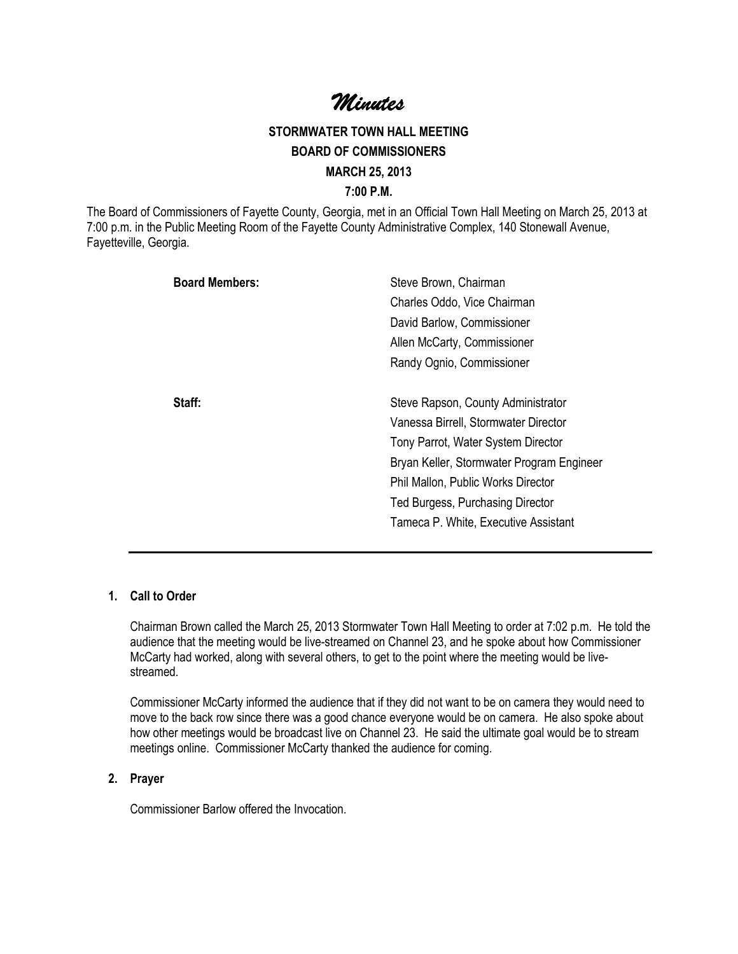Minutes Minutes

# STORMWATER TOWN HALL MEETING BOARD OF COMMISSIONERS MARCH 25, 2013 7:00 P.M.

The Board of Commissioners of Fayette County, Georgia, met in an Official Town Hall Meeting on March 25, 2013 at 7:00 p.m. in the Public Meeting Room of the Fayette County Administrative Complex, 140 Stonewall Avenue, Fayetteville, Georgia.

| Steve Brown, Chairman<br>Charles Oddo, Vice Chairman |
|------------------------------------------------------|
| David Barlow, Commissioner                           |
| Allen McCarty, Commissioner                          |
| Randy Ognio, Commissioner                            |
| Steve Rapson, County Administrator                   |
| Vanessa Birrell, Stormwater Director                 |
| Tony Parrot, Water System Director                   |
| Bryan Keller, Stormwater Program Engineer            |
| Phil Mallon, Public Works Director                   |
| Ted Burgess, Purchasing Director                     |
| Tameca P. White, Executive Assistant                 |
|                                                      |

### 1. Call to Order

Chairman Brown called the March 25, 2013 Stormwater Town Hall Meeting to order at 7:02 p.m. He told the audience that the meeting would be live-streamed on Channel 23, and he spoke about how Commissioner McCarty had worked, along with several others, to get to the point where the meeting would be livestreamed.

Commissioner McCarty informed the audience that if they did not want to be on camera they would need to move to the back row since there was a good chance everyone would be on camera. He also spoke about how other meetings would be broadcast live on Channel 23. He said the ultimate goal would be to stream meetings online. Commissioner McCarty thanked the audience for coming.

#### 2. Prayer

Commissioner Barlow offered the Invocation.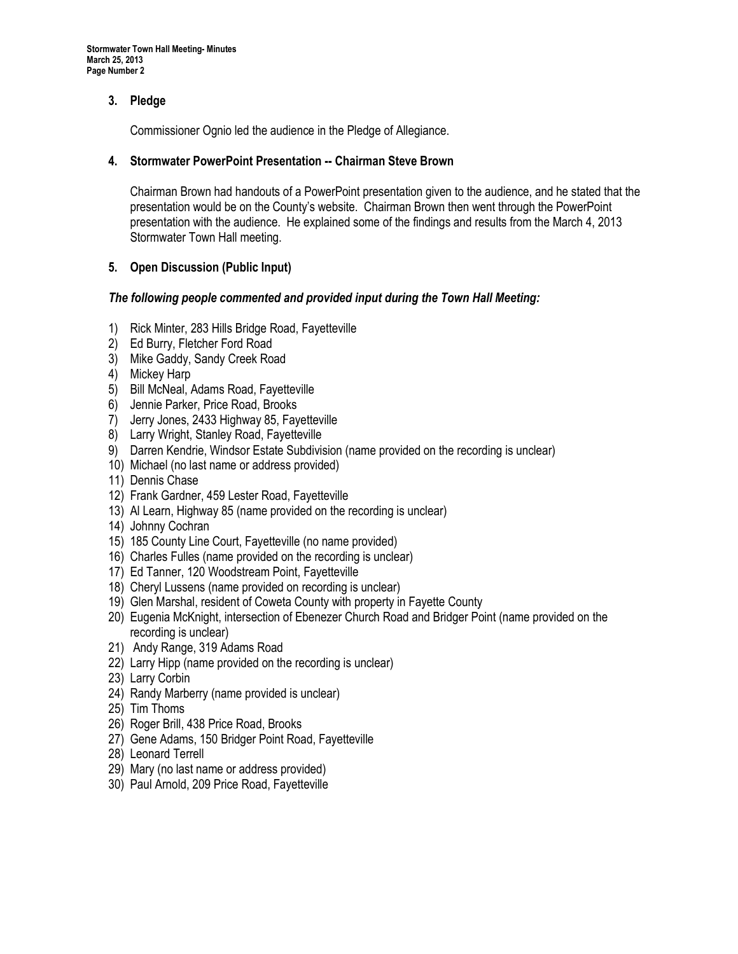# 3. Pledge

Commissioner Ognio led the audience in the Pledge of Allegiance.

### 4. Stormwater PowerPoint Presentation -- Chairman Steve Brown

Chairman Brown had handouts of a PowerPoint presentation given to the audience, and he stated that the presentation would be on the County's website. Chairman Brown then went through the PowerPoint presentation with the audience. He explained some of the findings and results from the March 4, 2013 Stormwater Town Hall meeting.

## 5. Open Discussion (Public Input)

#### The following people commented and provided input during the Town Hall Meeting:

- 1) Rick Minter, 283 Hills Bridge Road, Fayetteville
- 2) Ed Burry, Fletcher Ford Road
- 3) Mike Gaddy, Sandy Creek Road
- 4) Mickey Harp
- 5) Bill McNeal, Adams Road, Fayetteville
- 6) Jennie Parker, Price Road, Brooks
- 7) Jerry Jones, 2433 Highway 85, Fayetteville
- 8) Larry Wright, Stanley Road, Fayetteville
- 9) Darren Kendrie, Windsor Estate Subdivision (name provided on the recording is unclear)
- 10) Michael (no last name or address provided)
- 11) Dennis Chase
- 12) Frank Gardner, 459 Lester Road, Fayetteville
- 13) Al Learn, Highway 85 (name provided on the recording is unclear)
- 14) Johnny Cochran
- 15) 185 County Line Court, Fayetteville (no name provided)
- 16) Charles Fulles (name provided on the recording is unclear)
- 17) Ed Tanner, 120 Woodstream Point, Fayetteville
- 18) Cheryl Lussens (name provided on recording is unclear)
- 19) Glen Marshal, resident of Coweta County with property in Fayette County
- 20) Eugenia McKnight, intersection of Ebenezer Church Road and Bridger Point (name provided on the recording is unclear)
- 21) Andy Range, 319 Adams Road
- 22) Larry Hipp (name provided on the recording is unclear)
- 23) Larry Corbin
- 24) Randy Marberry (name provided is unclear)
- 25) Tim Thoms
- 26) Roger Brill, 438 Price Road, Brooks
- 27) Gene Adams, 150 Bridger Point Road, Fayetteville
- 28) Leonard Terrell
- 29) Mary (no last name or address provided)
- 30) Paul Arnold, 209 Price Road, Fayetteville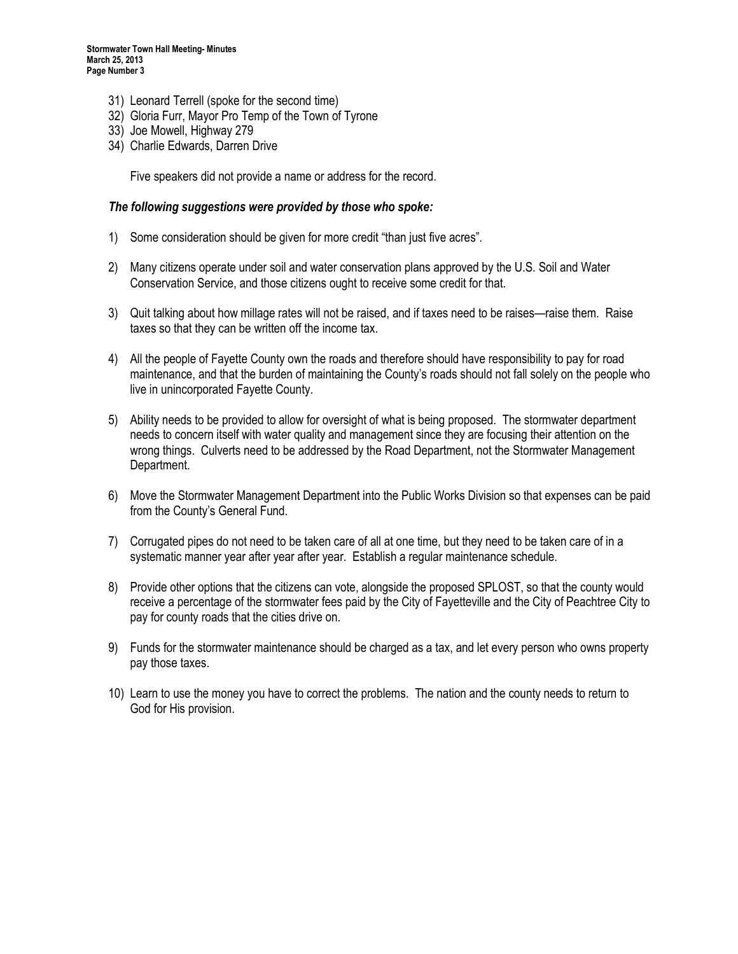- 31) Leonard Terrell (spoke for the second time)
- 32) Gloria Furr, Mayor Pro Temp of the Town of Tyrone
- 33) Joe Mowell, Highway 279
- 34) Charlie Edwards, Darren Drive

Five speakers did not provide a name or address for the record.

#### The following suggestions were provided by those who spoke:

- 1) Some consideration should be given for more credit "than just five acres".
- 2) Many citizens operate under soil and water conservation plans approved by the U.S. Soil and Water Conservation Service, and those citizens ought to receive some credit for that.
- 3) Quit talking about how millage rates will not be raised, and if taxes need to be raises—raise them. Raise taxes so that they can be written off the income tax.
- 4) All the people of Fayette County own the roads and therefore should have responsibility to pay for road maintenance, and that the burden of maintaining the County's roads should not fall solely on the people who live in unincorporated Fayette County.
- 5) Ability needs to be provided to allow for oversight of what is being proposed. The stormwater department needs to concern itself with water quality and management since they are focusing their attention on the wrong things. Culverts need to be addressed by the Road Department, not the Stormwater Management Department.
- 6) Move the Stormwater Management Department into the Public Works Division so that expenses can be paid from the County's General Fund.
- 7) Corrugated pipes do not need to be taken care of all at one time, but they need to be taken care of in a systematic manner year after year after year. Establish a regular maintenance schedule.
- 8) Provide other options that the citizens can vote, alongside the proposed SPLOST, so that the county would receive a percentage of the stormwater fees paid by the City of Fayetteville and the City of Peachtree City to pay for county roads that the cities drive on.
- 9) Funds for the stormwater maintenance should be charged as a tax, and let every person who owns property pay those taxes.
- 10) Learn to use the money you have to correct the problems. The nation and the county needs to return to God for His provision.